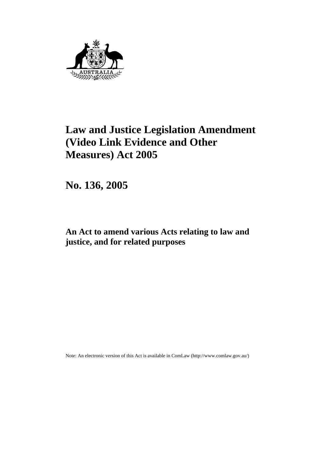

# **Law and Justice Legislation Amendment (Video Link Evidence and Other Measures) Act 2005**

**No. 136, 2005** 

**An Act to amend various Acts relating to law and justice, and for related purposes** 

Note: An electronic version of this Act is available in ComLaw (http://www.comlaw.gov.au/)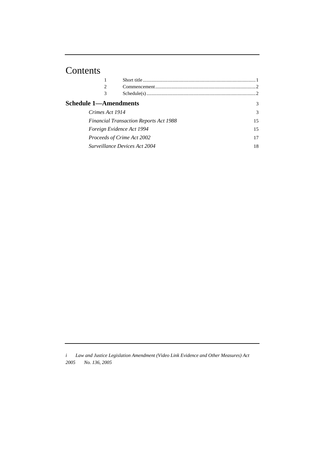# Contents

|                                                                                                                             | 2 |  |    |
|-----------------------------------------------------------------------------------------------------------------------------|---|--|----|
|                                                                                                                             | 3 |  |    |
| <b>Schedule 1—Amendments</b><br>3                                                                                           |   |  |    |
| Crimes Act 1914<br><b>Financial Transaction Reports Act 1988</b><br>Foreign Evidence Act 1994<br>Proceeds of Crime Act 2002 |   |  | 3  |
|                                                                                                                             |   |  | 15 |
|                                                                                                                             |   |  | 15 |
|                                                                                                                             |   |  | 17 |
| Surveillance Devices Act 2004                                                                                               |   |  | 18 |
|                                                                                                                             |   |  |    |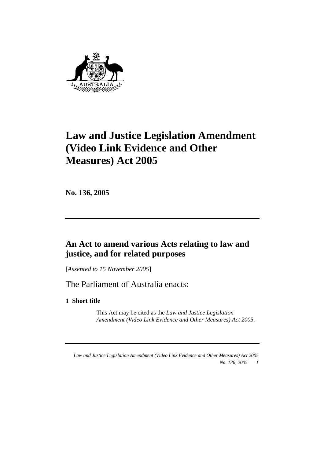

# **Law and Justice Legislation Amendment (Video Link Evidence and Other Measures) Act 2005**

**No. 136, 2005** 

# **An Act to amend various Acts relating to law and justice, and for related purposes**

[*Assented to 15 November 2005*]

The Parliament of Australia enacts:

**1 Short title** 

 This Act may be cited as the *Law and Justice Legislation Amendment (Video Link Evidence and Other Measures) Act 2005*.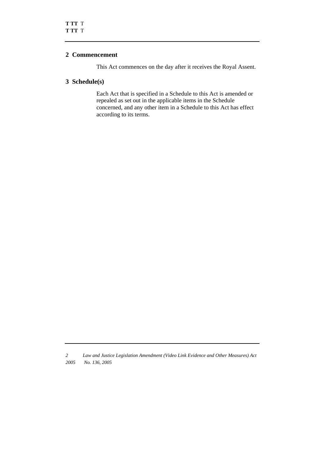# **2 Commencement**

This Act commences on the day after it receives the Royal Assent.

## **3 Schedule(s)**

 Each Act that is specified in a Schedule to this Act is amended or repealed as set out in the applicable items in the Schedule concerned, and any other item in a Schedule to this Act has effect according to its terms.

*<sup>2</sup> Law and Justice Legislation Amendment (Video Link Evidence and Other Measures) Act 2005 No. 136, 2005*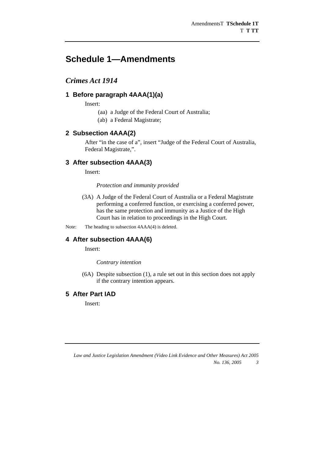# **Schedule 1—Amendments**

# *Crimes Act 1914*

# **1 Before paragraph 4AAA(1)(a)**

Insert:

(aa) a Judge of the Federal Court of Australia;

(ab) a Federal Magistrate;

### **2 Subsection 4AAA(2)**

After "in the case of a", insert "Judge of the Federal Court of Australia, Federal Magistrate,".

# **3 After subsection 4AAA(3)**

Insert:

#### *Protection and immunity provided*

 (3A) A Judge of the Federal Court of Australia or a Federal Magistrate performing a conferred function, or exercising a conferred power, has the same protection and immunity as a Justice of the High Court has in relation to proceedings in the High Court.

Note: The heading to subsection  $4AAA(4)$  is deleted.

# **4 After subsection 4AAA(6)**

Insert:

*Contrary intention* 

 (6A) Despite subsection (1), a rule set out in this section does not apply if the contrary intention appears.

#### **5 After Part IAD**

Insert:

*Law and Justice Legislation Amendment (Video Link Evidence and Other Measures) Act 2005 No. 136, 2005 3*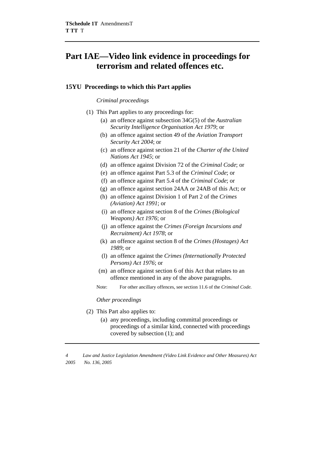# **Part IAE—Video link evidence in proceedings for terrorism and related offences etc.**

#### **15YU Proceedings to which this Part applies**

#### *Criminal proceedings*

- (1) This Part applies to any proceedings for:
	- (a) an offence against subsection 34G(5) of the *Australian Security Intelligence Organisation Act 1979*; or
	- (b) an offence against section 49 of the *Aviation Transport Security Act 2004*; or
	- (c) an offence against section 21 of the *Charter of the United Nations Act 1945*; or
	- (d) an offence against Division 72 of the *Criminal Code*; or
	- (e) an offence against Part 5.3 of the *Criminal Code*; or
	- (f) an offence against Part 5.4 of the *Criminal Code*; or
	- (g) an offence against section 24AA or 24AB of this Act; or
	- (h) an offence against Division 1 of Part 2 of the *Crimes (Aviation) Act 1991*; or
	- (i) an offence against section 8 of the *Crimes (Biological Weapons) Act 1976*; or
	- (j) an offence against the *Crimes (Foreign Incursions and Recruitment) Act 1978*; or
	- (k) an offence against section 8 of the *Crimes (Hostages) Act 1989*; or
	- (l) an offence against the *Crimes (Internationally Protected Persons) Act 1976*; or
	- (m) an offence against section 6 of this Act that relates to an offence mentioned in any of the above paragraphs.
	- Note: For other ancillary offences, see section 11.6 of the *Criminal Code.*

#### *Other proceedings*

- (2) This Part also applies to:
	- (a) any proceedings, including committal proceedings or proceedings of a similar kind, connected with proceedings covered by subsection (1); and

*<sup>4</sup> Law and Justice Legislation Amendment (Video Link Evidence and Other Measures) Act 2005 No. 136, 2005*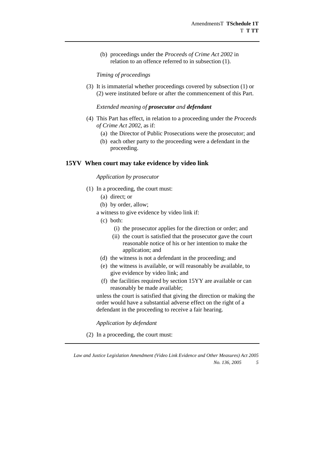(b) proceedings under the *Proceeds of Crime Act 2002* in relation to an offence referred to in subsection (1).

*Timing of proceedings* 

 (3) It is immaterial whether proceedings covered by subsection (1) or (2) were instituted before or after the commencement of this Part.

#### *Extended meaning of prosecutor and defendant*

- (4) This Part has effect, in relation to a proceeding under the *Proceeds of Crime Act 2002*, as if:
	- (a) the Director of Public Prosecutions were the prosecutor; and
	- (b) each other party to the proceeding were a defendant in the proceeding.

#### **15YV When court may take evidence by video link**

#### *Application by prosecutor*

- (1) In a proceeding, the court must:
	- (a) direct; or
	- (b) by order, allow;
	- a witness to give evidence by video link if:
		- (c) both:
			- (i) the prosecutor applies for the direction or order; and
			- (ii) the court is satisfied that the prosecutor gave the court reasonable notice of his or her intention to make the application; and
		- (d) the witness is not a defendant in the proceeding; and
		- (e) the witness is available, or will reasonably be available, to give evidence by video link; and
		- (f) the facilities required by section 15YY are available or can reasonably be made available;

unless the court is satisfied that giving the direction or making the order would have a substantial adverse effect on the right of a defendant in the proceeding to receive a fair hearing.

*Application by defendant* 

(2) In a proceeding, the court must: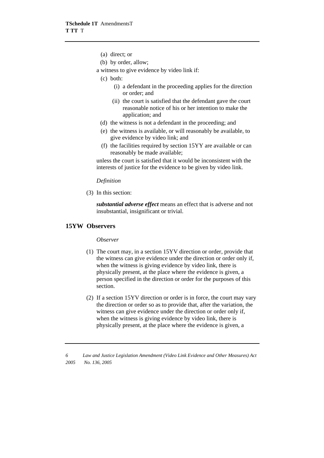- (a) direct; or
- (b) by order, allow;
- a witness to give evidence by video link if:
	- (c) both:
		- (i) a defendant in the proceeding applies for the direction or order; and
		- (ii) the court is satisfied that the defendant gave the court reasonable notice of his or her intention to make the application; and
	- (d) the witness is not a defendant in the proceeding; and
	- (e) the witness is available, or will reasonably be available, to give evidence by video link; and
	- (f) the facilities required by section 15YY are available or can reasonably be made available;

unless the court is satisfied that it would be inconsistent with the interests of justice for the evidence to be given by video link.

#### *Definition*

(3) In this section:

*substantial adverse effect* means an effect that is adverse and not insubstantial, insignificant or trivial.

#### **15YW Observers**

#### *Observer*

- (1) The court may, in a section 15YV direction or order, provide that the witness can give evidence under the direction or order only if, when the witness is giving evidence by video link, there is physically present, at the place where the evidence is given, a person specified in the direction or order for the purposes of this section.
- (2) If a section 15YV direction or order is in force, the court may vary the direction or order so as to provide that, after the variation, the witness can give evidence under the direction or order only if, when the witness is giving evidence by video link, there is physically present, at the place where the evidence is given, a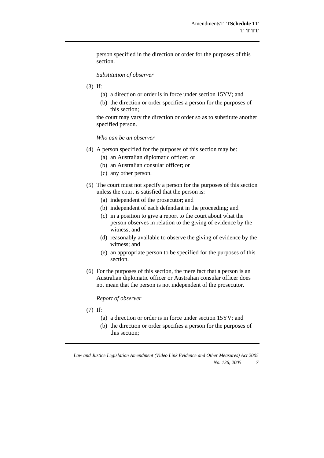person specified in the direction or order for the purposes of this section.

#### *Substitution of observer*

- (3) If:
	- (a) a direction or order is in force under section 15YV; and
	- (b) the direction or order specifies a person for the purposes of this section;

the court may vary the direction or order so as to substitute another specified person.

#### *Who can be an observer*

- (4) A person specified for the purposes of this section may be:
	- (a) an Australian diplomatic officer; or
	- (b) an Australian consular officer; or
	- (c) any other person.
- (5) The court must not specify a person for the purposes of this section unless the court is satisfied that the person is:
	- (a) independent of the prosecutor; and
	- (b) independent of each defendant in the proceeding; and
	- (c) in a position to give a report to the court about what the person observes in relation to the giving of evidence by the witness; and
	- (d) reasonably available to observe the giving of evidence by the witness; and
	- (e) an appropriate person to be specified for the purposes of this section.
- (6) For the purposes of this section, the mere fact that a person is an Australian diplomatic officer or Australian consular officer does not mean that the person is not independent of the prosecutor.

#### *Report of observer*

- (7) If:
	- (a) a direction or order is in force under section 15YV; and
	- (b) the direction or order specifies a person for the purposes of this section;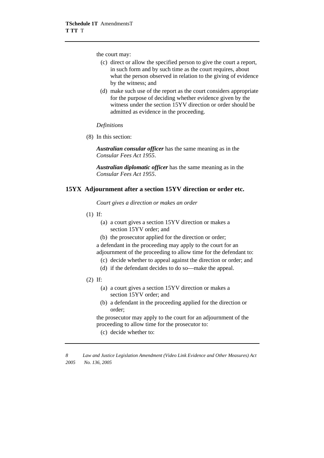the court may:

- (c) direct or allow the specified person to give the court a report, in such form and by such time as the court requires, about what the person observed in relation to the giving of evidence by the witness; and
- (d) make such use of the report as the court considers appropriate for the purpose of deciding whether evidence given by the witness under the section 15YV direction or order should be admitted as evidence in the proceeding.

#### *Definitions*

(8) In this section:

*Australian consular officer* has the same meaning as in the *Consular Fees Act 1955*.

*Australian diplomatic officer* has the same meaning as in the *Consular Fees Act 1955*.

### **15YX Adjournment after a section 15YV direction or order etc.**

*Court gives a direction or makes an order* 

- (1) If:
	- (a) a court gives a section 15YV direction or makes a section 15YV order; and
	- (b) the prosecutor applied for the direction or order; a defendant in the proceeding may apply to the court for an adjournment of the proceeding to allow time for the defendant to:
		- (c) decide whether to appeal against the direction or order; and
		- (d) if the defendant decides to do so—make the appeal.
- (2) If:
	- (a) a court gives a section 15YV direction or makes a section 15YV order; and
	- (b) a defendant in the proceeding applied for the direction or order;

the prosecutor may apply to the court for an adjournment of the proceeding to allow time for the prosecutor to:

(c) decide whether to: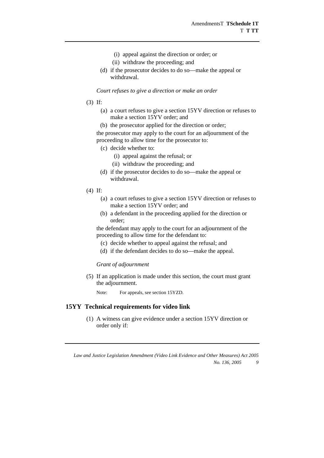- (i) appeal against the direction or order; or
- (ii) withdraw the proceeding; and
- (d) if the prosecutor decides to do so—make the appeal or withdrawal.

*Court refuses to give a direction or make an order* 

- (3) If:
	- (a) a court refuses to give a section 15YV direction or refuses to make a section 15YV order; and
	- (b) the prosecutor applied for the direction or order;

the prosecutor may apply to the court for an adjournment of the proceeding to allow time for the prosecutor to:

- (c) decide whether to:
	- (i) appeal against the refusal; or
	- (ii) withdraw the proceeding; and
- (d) if the prosecutor decides to do so—make the appeal or withdrawal.
- (4) If:
	- (a) a court refuses to give a section 15YV direction or refuses to make a section 15YV order; and
	- (b) a defendant in the proceeding applied for the direction or order;

the defendant may apply to the court for an adjournment of the proceeding to allow time for the defendant to:

- (c) decide whether to appeal against the refusal; and
- (d) if the defendant decides to do so—make the appeal.

#### *Grant of adjournment*

 (5) If an application is made under this section, the court must grant the adjournment.

Note: For appeals, see section 15YZD.

#### **15YY Technical requirements for video link**

 (1) A witness can give evidence under a section 15YV direction or order only if: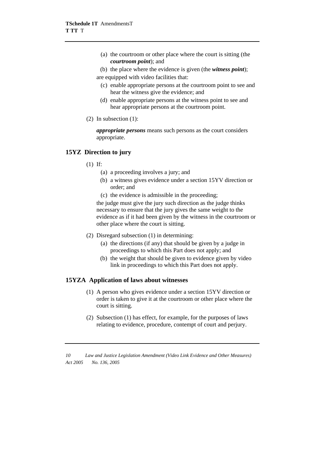- (a) the courtroom or other place where the court is sitting (the *courtroom point*); and
- (b) the place where the evidence is given (the *witness point*);

are equipped with video facilities that:

- (c) enable appropriate persons at the courtroom point to see and hear the witness give the evidence; and
- (d) enable appropriate persons at the witness point to see and hear appropriate persons at the courtroom point.
- (2) In subsection (1):

*appropriate persons* means such persons as the court considers appropriate.

# **15YZ Direction to jury**

- (1) If:
	- (a) a proceeding involves a jury; and
	- (b) a witness gives evidence under a section 15YV direction or order; and
	- (c) the evidence is admissible in the proceeding;

the judge must give the jury such direction as the judge thinks necessary to ensure that the jury gives the same weight to the evidence as if it had been given by the witness in the courtroom or other place where the court is sitting.

- (2) Disregard subsection (1) in determining:
	- (a) the directions (if any) that should be given by a judge in proceedings to which this Part does not apply; and
	- (b) the weight that should be given to evidence given by video link in proceedings to which this Part does not apply.

#### **15YZA Application of laws about witnesses**

- (1) A person who gives evidence under a section 15YV direction or order is taken to give it at the courtroom or other place where the court is sitting.
- (2) Subsection (1) has effect, for example, for the purposes of laws relating to evidence, procedure, contempt of court and perjury.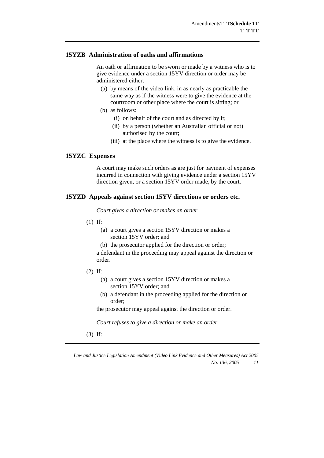#### **15YZB Administration of oaths and affirmations**

 An oath or affirmation to be sworn or made by a witness who is to give evidence under a section 15YV direction or order may be administered either:

- (a) by means of the video link, in as nearly as practicable the same way as if the witness were to give the evidence at the courtroom or other place where the court is sitting; or
- (b) as follows:
	- (i) on behalf of the court and as directed by it;
	- (ii) by a person (whether an Australian official or not) authorised by the court;
	- (iii) at the place where the witness is to give the evidence.

#### **15YZC Expenses**

 A court may make such orders as are just for payment of expenses incurred in connection with giving evidence under a section 15YV direction given, or a section 15YV order made, by the court.

#### **15YZD Appeals against section 15YV directions or orders etc.**

*Court gives a direction or makes an order* 

- (1) If:
	- (a) a court gives a section 15YV direction or makes a section 15YV order; and
	- (b) the prosecutor applied for the direction or order;

a defendant in the proceeding may appeal against the direction or order.

- (2) If:
	- (a) a court gives a section 15YV direction or makes a section 15YV order; and
	- (b) a defendant in the proceeding applied for the direction or order;

the prosecutor may appeal against the direction or order.

*Court refuses to give a direction or make an order* 

(3) If: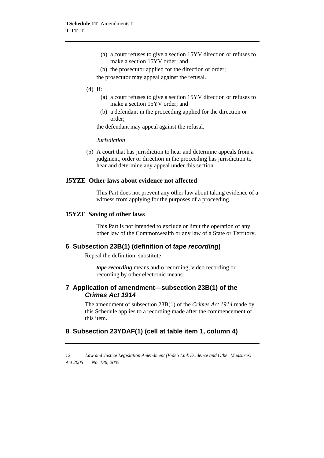- (a) a court refuses to give a section 15YV direction or refuses to make a section 15YV order; and
- (b) the prosecutor applied for the direction or order;

the prosecutor may appeal against the refusal.

- (4) If:
	- (a) a court refuses to give a section 15YV direction or refuses to make a section 15YV order; and
	- (b) a defendant in the proceeding applied for the direction or order;

the defendant may appeal against the refusal.

#### *Jurisdiction*

 (5) A court that has jurisdiction to hear and determine appeals from a judgment, order or direction in the proceeding has jurisdiction to hear and determine any appeal under this section.

#### **15YZE Other laws about evidence not affected**

 This Part does not prevent any other law about taking evidence of a witness from applying for the purposes of a proceeding.

#### **15YZF Saving of other laws**

 This Part is not intended to exclude or limit the operation of any other law of the Commonwealth or any law of a State or Territory.

# **6 Subsection 23B(1) (definition of** *tape recording***)**

Repeal the definition, substitute:

*tape recording* means audio recording, video recording or recording by other electronic means.

### **7 Application of amendment—subsection 23B(1) of the**  *Crimes Act 1914*

The amendment of subsection 23B(1) of the *Crimes Act 1914* made by this Schedule applies to a recording made after the commencement of this item.

# **8 Subsection 23YDAF(1) (cell at table item 1, column 4)**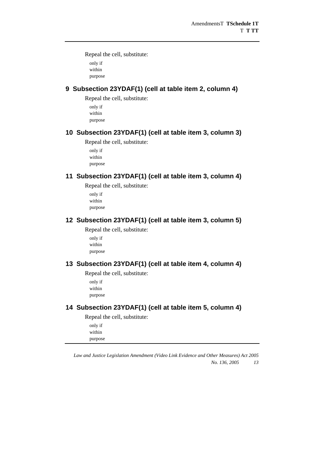Repeal the cell, substitute:

only if within purpose

# **9 Subsection 23YDAF(1) (cell at table item 2, column 4)**

Repeal the cell, substitute:

only if within purpose

# **10 Subsection 23YDAF(1) (cell at table item 3, column 3)**

Repeal the cell, substitute:

only if within purpose

# **11 Subsection 23YDAF(1) (cell at table item 3, column 4)**

Repeal the cell, substitute:

only if within purpose

# **12 Subsection 23YDAF(1) (cell at table item 3, column 5)**

Repeal the cell, substitute:

only if within purpose

# **13 Subsection 23YDAF(1) (cell at table item 4, column 4)**

Repeal the cell, substitute:

only if within purpose

# **14 Subsection 23YDAF(1) (cell at table item 5, column 4)**

Repeal the cell, substitute:

only if within purpose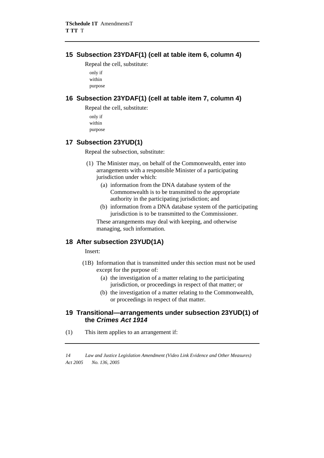# **15 Subsection 23YDAF(1) (cell at table item 6, column 4)**

Repeal the cell, substitute: only if

within purpose

# **16 Subsection 23YDAF(1) (cell at table item 7, column 4)**

Repeal the cell, substitute:

only if within purpose

# **17 Subsection 23YUD(1)**

Repeal the subsection, substitute:

- (1) The Minister may, on behalf of the Commonwealth, enter into arrangements with a responsible Minister of a participating jurisdiction under which:
	- (a) information from the DNA database system of the Commonwealth is to be transmitted to the appropriate authority in the participating jurisdiction; and
	- (b) information from a DNA database system of the participating jurisdiction is to be transmitted to the Commissioner.

These arrangements may deal with keeping, and otherwise managing, such information.

# **18 After subsection 23YUD(1A)**

Insert:

- (1B) Information that is transmitted under this section must not be used except for the purpose of:
	- (a) the investigation of a matter relating to the participating jurisdiction, or proceedings in respect of that matter; or
	- (b) the investigation of a matter relating to the Commonwealth, or proceedings in respect of that matter.

# **19 Transitional—arrangements under subsection 23YUD(1) of the** *Crimes Act 1914*

(1) This item applies to an arrangement if: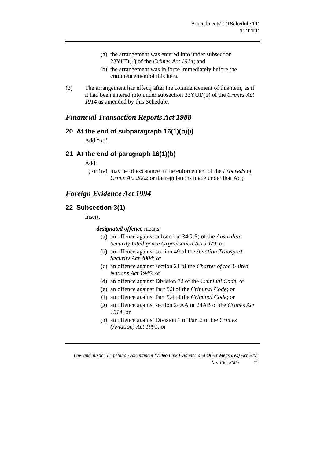- (a) the arrangement was entered into under subsection 23YUD(1) of the *Crimes Act 1914*; and
- (b) the arrangement was in force immediately before the commencement of this item.
- (2) The arrangement has effect, after the commencement of this item, as if it had been entered into under subsection 23YUD(1) of the *Crimes Act 1914* as amended by this Schedule.

# *Financial Transaction Reports Act 1988*

### **20 At the end of subparagraph 16(1)(b)(i)**

Add "or".

#### **21 At the end of paragraph 16(1)(b)**

Add:

 ; or (iv) may be of assistance in the enforcement of the *Proceeds of Crime Act 2002* or the regulations made under that Act;

# *Foreign Evidence Act 1994*

### **22 Subsection 3(1)**

Insert:

*designated offence* means:

- (a) an offence against subsection 34G(5) of the *Australian Security Intelligence Organisation Act 1979*; or
- (b) an offence against section 49 of the *Aviation Transport Security Act 2004*; or
- (c) an offence against section 21 of the *Charter of the United Nations Act 1945*; or
- (d) an offence against Division 72 of the *Criminal Code*; or
- (e) an offence against Part 5.3 of the *Criminal Code*; or
- (f) an offence against Part 5.4 of the *Criminal Code*; or
- (g) an offence against section 24AA or 24AB of the *Crimes Act 1914*; or
- (h) an offence against Division 1 of Part 2 of the *Crimes (Aviation) Act 1991*; or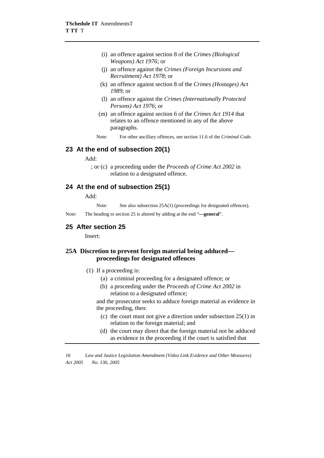- (i) an offence against section 8 of the *Crimes (Biological Weapons) Act 1976*; or
- (j) an offence against the *Crimes (Foreign Incursions and Recruitment) Act 1978*; or
- (k) an offence against section 8 of the *Crimes (Hostages) Act 1989*; or
- (l) an offence against the *Crimes (Internationally Protected Persons) Act 1976*; or
- (m) an offence against section 6 of the *Crimes Act 1914* that relates to an offence mentioned in any of the above paragraphs.
- Note: For other ancillary offences, see section 11.6 of the *Criminal Code.*

### **23 At the end of subsection 20(1)**

 $Add$ 

 ; or (c) a proceeding under the *Proceeds of Crime Act 2002* in relation to a designated offence.

### **24 At the end of subsection 25(1)**

Add:

Note: See also subsection 25A(1) (proceedings for designated offences).

Note: The heading to section 25 is altered by adding at the end "**—general**".

#### **25 After section 25**

Insert:

#### **25A Discretion to prevent foreign material being adduced proceedings for designated offences**

- (1) If a proceeding is:
	- (a) a criminal proceeding for a designated offence; or
	- (b) a proceeding under the *Proceeds of Crime Act 2002* in relation to a designated offence;

and the prosecutor seeks to adduce foreign material as evidence in the proceeding, then:

- (c) the court must not give a direction under subsection 25(1) in relation to the foreign material; and
- (d) the court may direct that the foreign material not be adduced as evidence in the proceeding if the court is satisfied that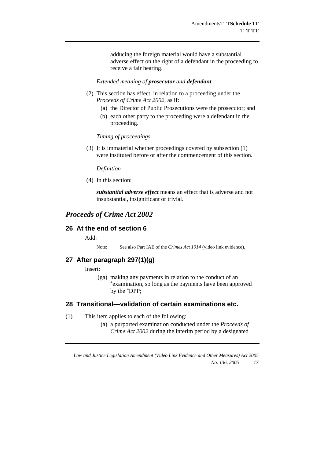adducing the foreign material would have a substantial adverse effect on the right of a defendant in the proceeding to receive a fair hearing.

#### *Extended meaning of prosecutor and defendant*

- (2) This section has effect, in relation to a proceeding under the *Proceeds of Crime Act 2002*, as if:
	- (a) the Director of Public Prosecutions were the prosecutor; and
	- (b) each other party to the proceeding were a defendant in the proceeding.

#### *Timing of proceedings*

 (3) It is immaterial whether proceedings covered by subsection (1) were instituted before or after the commencement of this section.

#### *Definition*

(4) In this section:

*substantial adverse effect* means an effect that is adverse and not insubstantial, insignificant or trivial.

# *Proceeds of Crime Act 2002*

# **26 At the end of section 6**

Add:

Note: See also Part IAE of the *Crimes Act 1914* (video link evidence).

# **27 After paragraph 297(1)(g)**

Insert:

(ga) making any payments in relation to the conduct of an \*examination, so long as the payments have been approved by the \*DPP;

### **28 Transitional—validation of certain examinations etc.**

- (1) This item applies to each of the following:
	- (a) a purported examination conducted under the *Proceeds of Crime Act 2002* during the interim period by a designated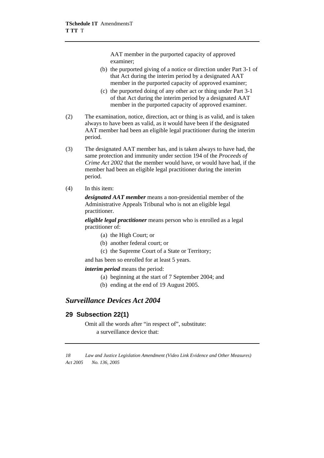AAT member in the purported capacity of approved examiner;

- (b) the purported giving of a notice or direction under Part 3-1 of that Act during the interim period by a designated AAT member in the purported capacity of approved examiner;
- (c) the purported doing of any other act or thing under Part 3-1 of that Act during the interim period by a designated AAT member in the purported capacity of approved examiner.
- (2) The examination, notice, direction, act or thing is as valid, and is taken always to have been as valid, as it would have been if the designated AAT member had been an eligible legal practitioner during the interim period.
- (3) The designated AAT member has, and is taken always to have had, the same protection and immunity under section 194 of the *Proceeds of Crime Act 2002* that the member would have, or would have had, if the member had been an eligible legal practitioner during the interim period.
- (4) In this item:

*designated AAT member* means a non-presidential member of the Administrative Appeals Tribunal who is not an eligible legal practitioner.

*eligible legal practitioner* means person who is enrolled as a legal practitioner of:

- (a) the High Court; or
- (b) another federal court; or
- (c) the Supreme Court of a State or Territory;

and has been so enrolled for at least 5 years.

*interim period* means the period:

- (a) beginning at the start of 7 September 2004; and
- (b) ending at the end of 19 August 2005.

# *Surveillance Devices Act 2004*

# **29 Subsection 22(1)**

Omit all the words after "in respect of", substitute: a surveillance device that: